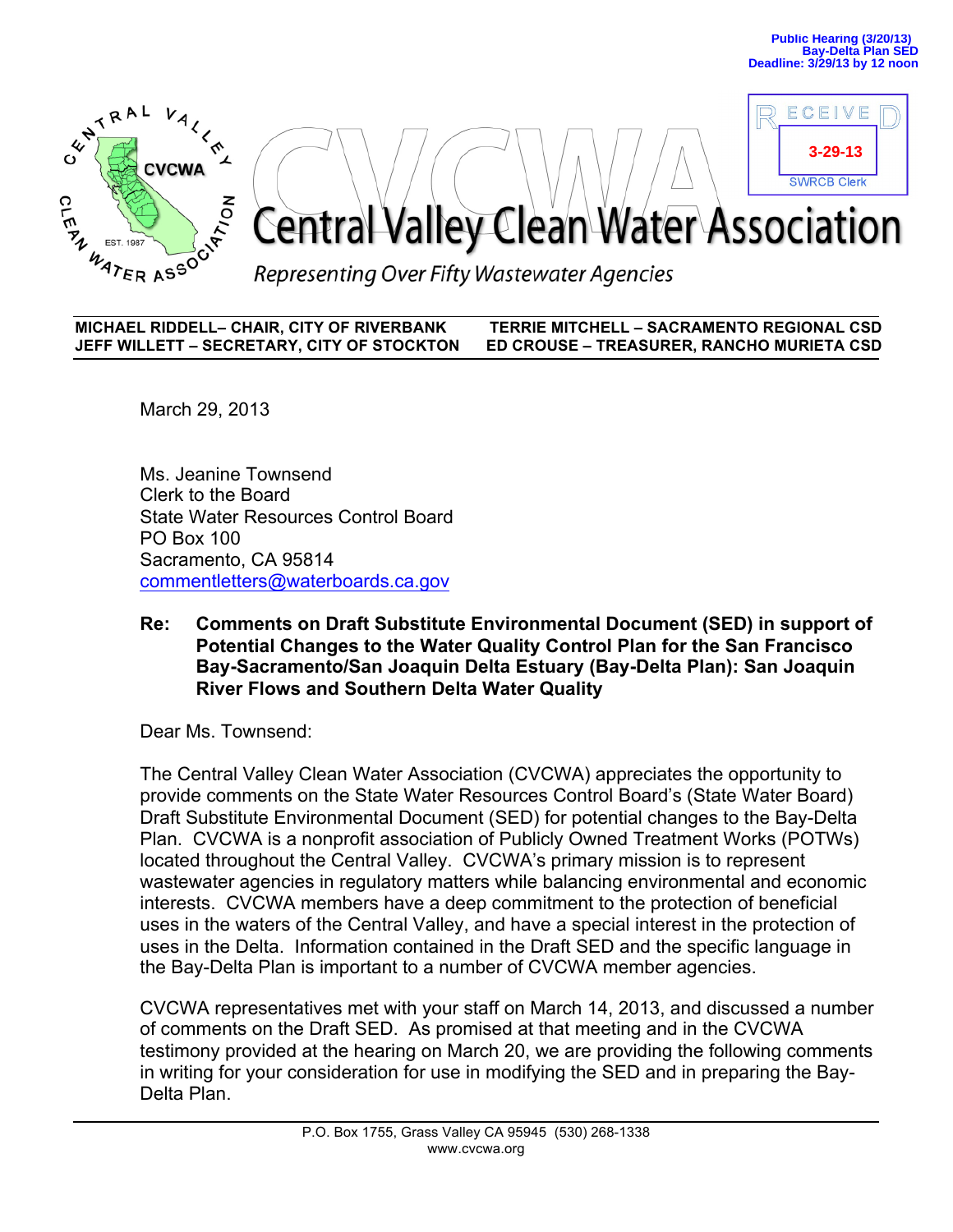ECEIVE

**3-29-13**



# **SWRCB Clerk** Central Valley Clean Water Association

Representing Over Fifty Wastewater Agencies

**MICHAEL RIDDELL– CHAIR, CITY OF RIVERBANK TERRIE MITCHELL – SACRAMENTO REGIONAL CSD JEFF WILLETT – SECRETARY, CITY OF STOCKTON ED CROUSE – TREASURER, RANCHO MURIETA CSD**

March 29, 2013

Ms. Jeanine Townsend Clerk to the Board State Water Resources Control Board PO Box 100 Sacramento, CA 95814 commentletters@waterboards.ca.gov

# **Re: Comments on Draft Substitute Environmental Document (SED) in support of Potential Changes to the Water Quality Control Plan for the San Francisco Bay-Sacramento/San Joaquin Delta Estuary (Bay-Delta Plan): San Joaquin River Flows and Southern Delta Water Quality**

Dear Ms. Townsend:

The Central Valley Clean Water Association (CVCWA) appreciates the opportunity to provide comments on the State Water Resources Control Board's (State Water Board) Draft Substitute Environmental Document (SED) for potential changes to the Bay-Delta Plan. CVCWA is a nonprofit association of Publicly Owned Treatment Works (POTWs) located throughout the Central Valley. CVCWA's primary mission is to represent wastewater agencies in regulatory matters while balancing environmental and economic interests. CVCWA members have a deep commitment to the protection of beneficial uses in the waters of the Central Valley, and have a special interest in the protection of uses in the Delta. Information contained in the Draft SED and the specific language in the Bay-Delta Plan is important to a number of CVCWA member agencies.

CVCWA representatives met with your staff on March 14, 2013, and discussed a number of comments on the Draft SED. As promised at that meeting and in the CVCWA testimony provided at the hearing on March 20, we are providing the following comments in writing for your consideration for use in modifying the SED and in preparing the Bay-Delta Plan.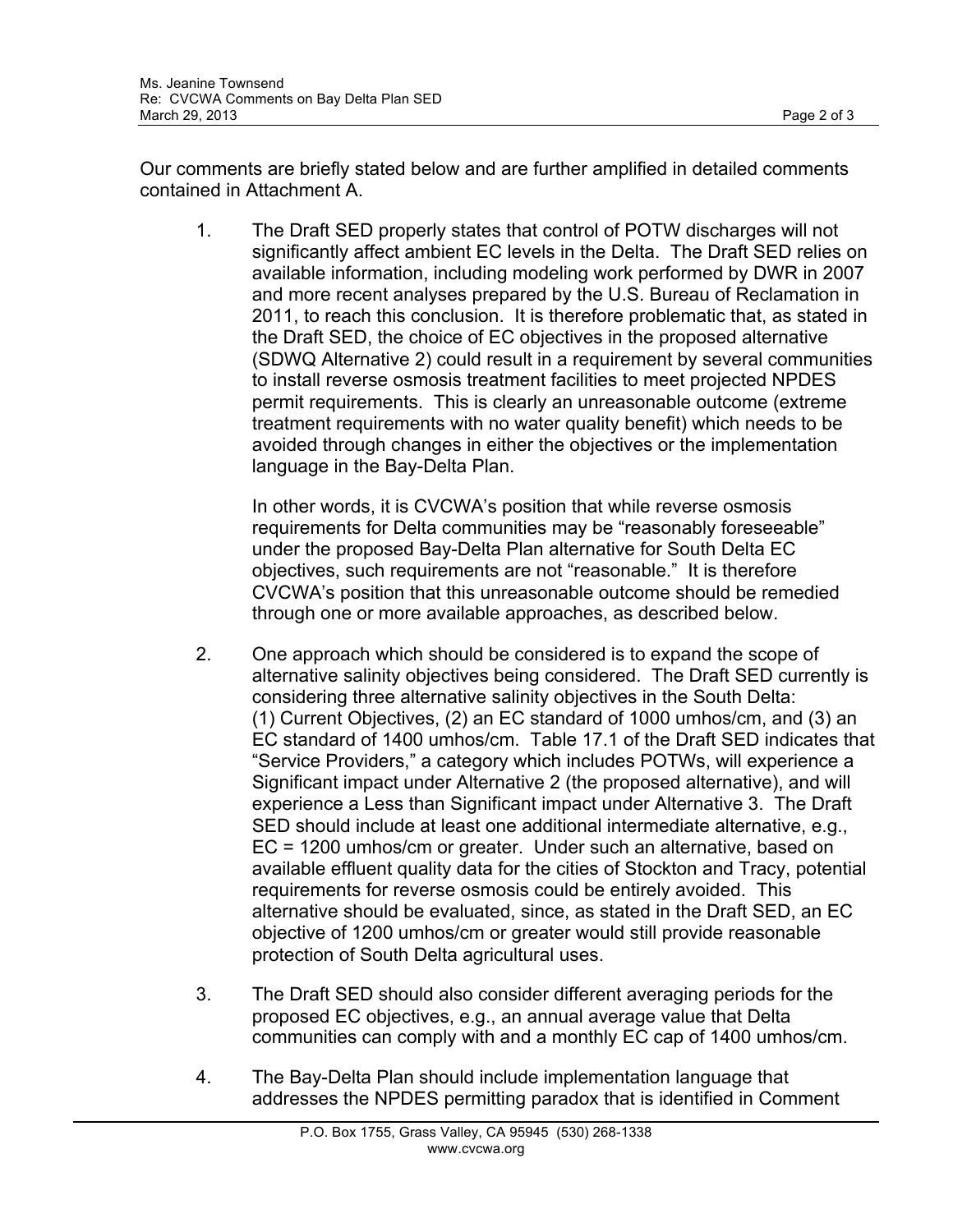Our comments are briefly stated below and are further amplified in detailed comments contained in Attachment A.

1. The Draft SED properly states that control of POTW discharges will not significantly affect ambient EC levels in the Delta. The Draft SED relies on available information, including modeling work performed by DWR in 2007 and more recent analyses prepared by the U.S. Bureau of Reclamation in 2011, to reach this conclusion. It is therefore problematic that, as stated in the Draft SED, the choice of EC objectives in the proposed alternative (SDWQ Alternative 2) could result in a requirement by several communities to install reverse osmosis treatment facilities to meet projected NPDES permit requirements. This is clearly an unreasonable outcome (extreme treatment requirements with no water quality benefit) which needs to be avoided through changes in either the objectives or the implementation language in the Bay-Delta Plan.

In other words, it is CVCWA's position that while reverse osmosis requirements for Delta communities may be "reasonably foreseeable" under the proposed Bay-Delta Plan alternative for South Delta EC objectives, such requirements are not "reasonable." It is therefore CVCWA's position that this unreasonable outcome should be remedied through one or more available approaches, as described below.

- 2. One approach which should be considered is to expand the scope of alternative salinity objectives being considered. The Draft SED currently is considering three alternative salinity objectives in the South Delta: (1) Current Objectives, (2) an EC standard of 1000 umhos/cm, and (3) an EC standard of 1400 umhos/cm. Table 17.1 of the Draft SED indicates that "Service Providers," a category which includes POTWs, will experience a Significant impact under Alternative 2 (the proposed alternative), and will experience a Less than Significant impact under Alternative 3. The Draft SED should include at least one additional intermediate alternative, e.g., EC = 1200 umhos/cm or greater. Under such an alternative, based on available effluent quality data for the cities of Stockton and Tracy, potential requirements for reverse osmosis could be entirely avoided. This alternative should be evaluated, since, as stated in the Draft SED, an EC objective of 1200 umhos/cm or greater would still provide reasonable protection of South Delta agricultural uses.
- 3. The Draft SED should also consider different averaging periods for the proposed EC objectives, e.g., an annual average value that Delta communities can comply with and a monthly EC cap of 1400 umhos/cm.
- 4. The Bay-Delta Plan should include implementation language that addresses the NPDES permitting paradox that is identified in Comment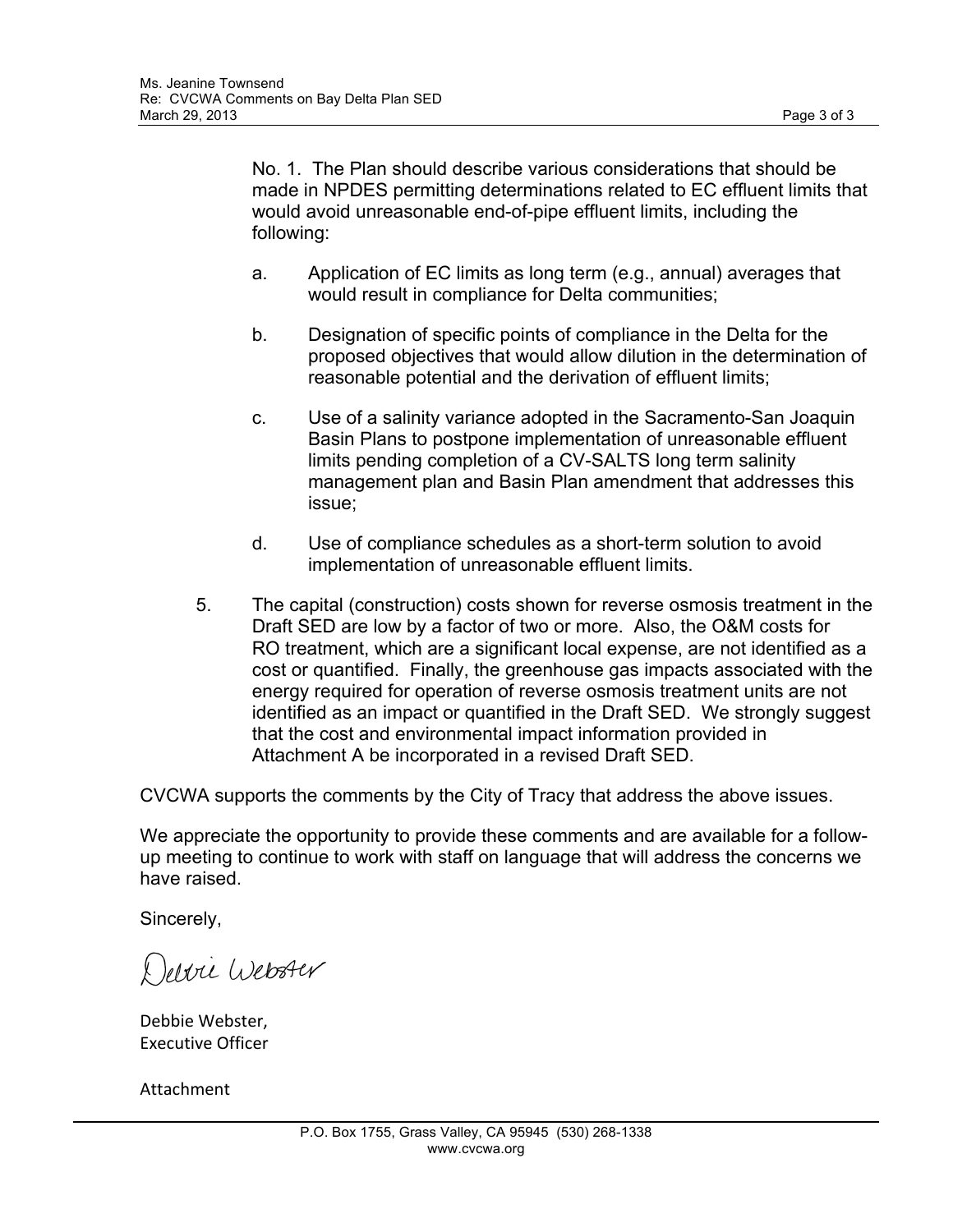No. 1. The Plan should describe various considerations that should be made in NPDES permitting determinations related to EC effluent limits that would avoid unreasonable end-of-pipe effluent limits, including the following:

- a. Application of EC limits as long term (e.g., annual) averages that would result in compliance for Delta communities;
- b. Designation of specific points of compliance in the Delta for the proposed objectives that would allow dilution in the determination of reasonable potential and the derivation of effluent limits;
- c. Use of a salinity variance adopted in the Sacramento-San Joaquin Basin Plans to postpone implementation of unreasonable effluent limits pending completion of a CV-SALTS long term salinity management plan and Basin Plan amendment that addresses this issue;
- d. Use of compliance schedules as a short-term solution to avoid implementation of unreasonable effluent limits.
- 5. The capital (construction) costs shown for reverse osmosis treatment in the Draft SED are low by a factor of two or more. Also, the O&M costs for RO treatment, which are a significant local expense, are not identified as a cost or quantified. Finally, the greenhouse gas impacts associated with the energy required for operation of reverse osmosis treatment units are not identified as an impact or quantified in the Draft SED. We strongly suggest that the cost and environmental impact information provided in Attachment A be incorporated in a revised Draft SED.

CVCWA supports the comments by the City of Tracy that address the above issues.

We appreciate the opportunity to provide these comments and are available for a followup meeting to continue to work with staff on language that will address the concerns we have raised.

Sincerely,

Devii Webster

Debbie Webster, Executive Officer 

Attachment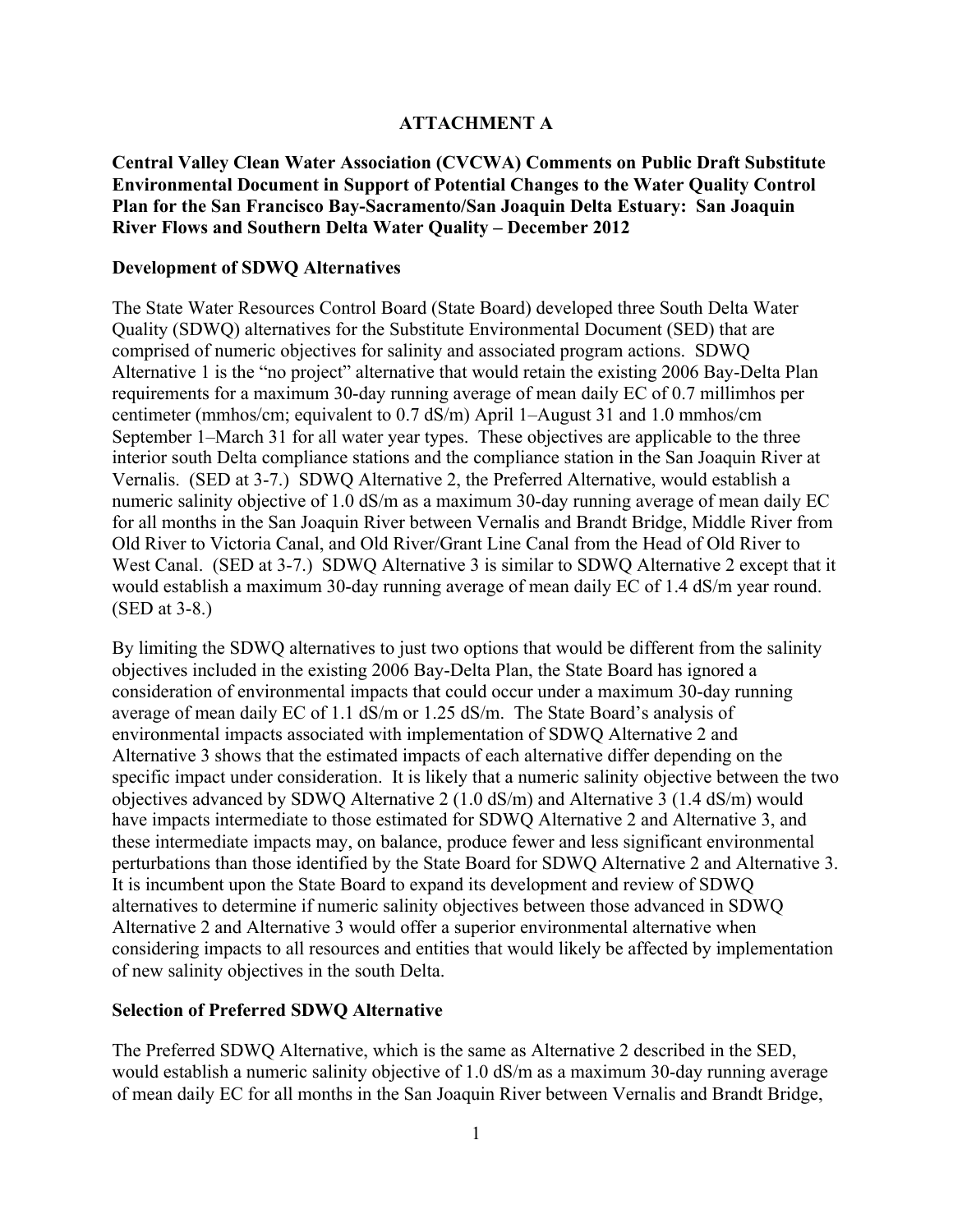# **ATTACHMENT A**

**Central Valley Clean Water Association (CVCWA) Comments on Public Draft Substitute Environmental Document in Support of Potential Changes to the Water Quality Control Plan for the San Francisco Bay-Sacramento/San Joaquin Delta Estuary: San Joaquin River Flows and Southern Delta Water Quality – December 2012**

## **Development of SDWQ Alternatives**

The State Water Resources Control Board (State Board) developed three South Delta Water Quality (SDWQ) alternatives for the Substitute Environmental Document (SED) that are comprised of numeric objectives for salinity and associated program actions. SDWQ Alternative 1 is the "no project" alternative that would retain the existing 2006 Bay-Delta Plan requirements for a maximum 30-day running average of mean daily EC of 0.7 millimhos per centimeter (mmhos/cm; equivalent to 0.7 dS/m) April 1–August 31 and 1.0 mmhos/cm September 1–March 31 for all water year types. These objectives are applicable to the three interior south Delta compliance stations and the compliance station in the San Joaquin River at Vernalis. (SED at 3-7.) SDWQ Alternative 2, the Preferred Alternative, would establish a numeric salinity objective of 1.0 dS/m as a maximum 30-day running average of mean daily EC for all months in the San Joaquin River between Vernalis and Brandt Bridge, Middle River from Old River to Victoria Canal, and Old River/Grant Line Canal from the Head of Old River to West Canal. (SED at 3-7.) SDWQ Alternative 3 is similar to SDWQ Alternative 2 except that it would establish a maximum 30-day running average of mean daily EC of 1.4 dS/m year round. (SED at 3-8.)

By limiting the SDWQ alternatives to just two options that would be different from the salinity objectives included in the existing 2006 Bay-Delta Plan, the State Board has ignored a consideration of environmental impacts that could occur under a maximum 30-day running average of mean daily EC of 1.1 dS/m or 1.25 dS/m. The State Board's analysis of environmental impacts associated with implementation of SDWQ Alternative 2 and Alternative 3 shows that the estimated impacts of each alternative differ depending on the specific impact under consideration. It is likely that a numeric salinity objective between the two objectives advanced by SDWQ Alternative 2 (1.0 dS/m) and Alternative 3 (1.4 dS/m) would have impacts intermediate to those estimated for SDWQ Alternative 2 and Alternative 3, and these intermediate impacts may, on balance, produce fewer and less significant environmental perturbations than those identified by the State Board for SDWQ Alternative 2 and Alternative 3. It is incumbent upon the State Board to expand its development and review of SDWQ alternatives to determine if numeric salinity objectives between those advanced in SDWQ Alternative 2 and Alternative 3 would offer a superior environmental alternative when considering impacts to all resources and entities that would likely be affected by implementation of new salinity objectives in the south Delta.

# **Selection of Preferred SDWQ Alternative**

The Preferred SDWQ Alternative, which is the same as Alternative 2 described in the SED, would establish a numeric salinity objective of 1.0 dS/m as a maximum 30-day running average of mean daily EC for all months in the San Joaquin River between Vernalis and Brandt Bridge,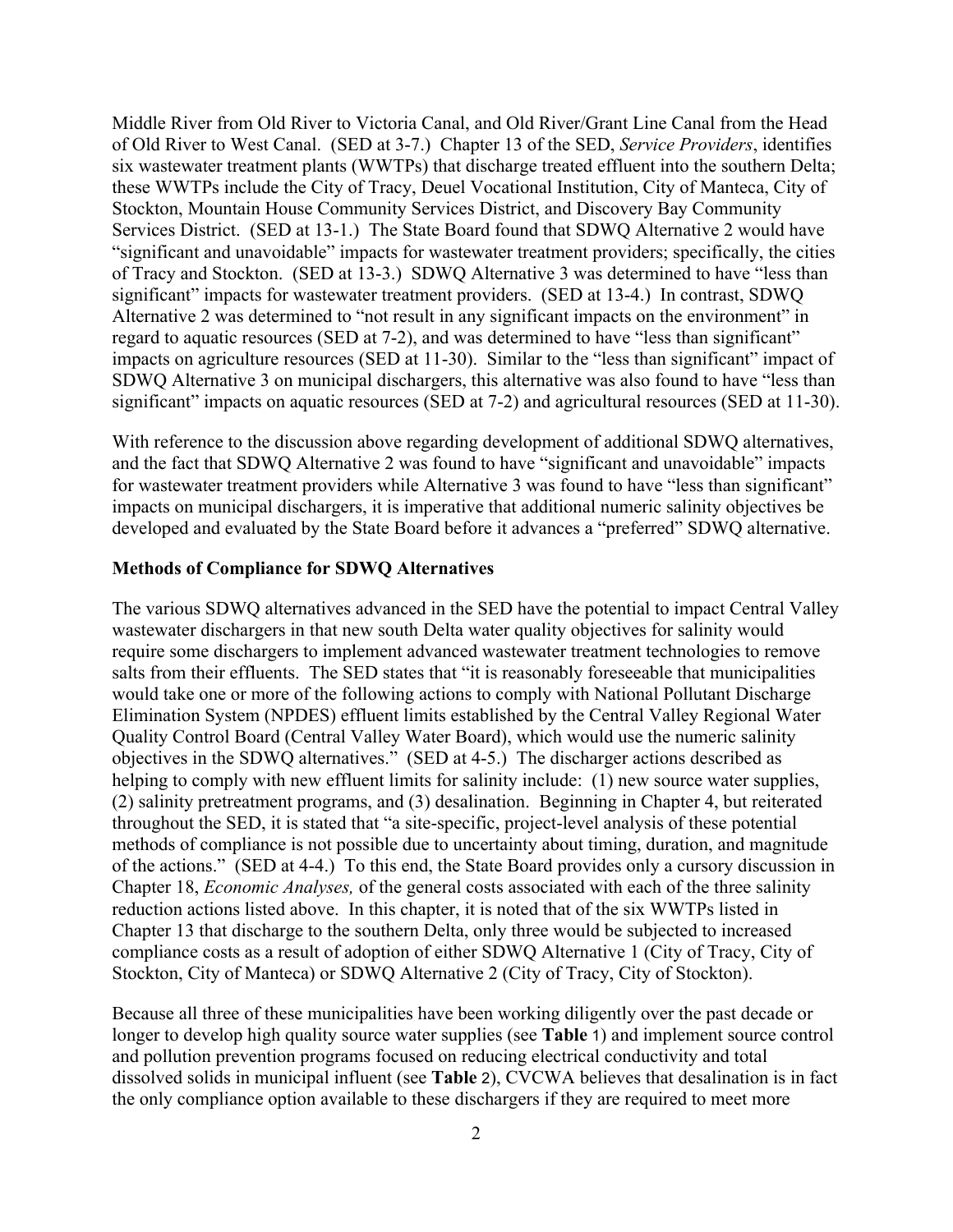Middle River from Old River to Victoria Canal, and Old River/Grant Line Canal from the Head of Old River to West Canal. (SED at 3-7.) Chapter 13 of the SED, *Service Providers*, identifies six wastewater treatment plants (WWTPs) that discharge treated effluent into the southern Delta; these WWTPs include the City of Tracy, Deuel Vocational Institution, City of Manteca, City of Stockton, Mountain House Community Services District, and Discovery Bay Community Services District. (SED at 13-1.) The State Board found that SDWQ Alternative 2 would have "significant and unavoidable" impacts for wastewater treatment providers; specifically, the cities of Tracy and Stockton. (SED at 13-3.) SDWQ Alternative 3 was determined to have "less than significant" impacts for wastewater treatment providers. (SED at 13-4.) In contrast, SDWQ Alternative 2 was determined to "not result in any significant impacts on the environment" in regard to aquatic resources (SED at 7-2), and was determined to have "less than significant" impacts on agriculture resources (SED at 11-30). Similar to the "less than significant" impact of SDWQ Alternative 3 on municipal dischargers, this alternative was also found to have "less than significant" impacts on aquatic resources (SED at 7-2) and agricultural resources (SED at 11-30).

With reference to the discussion above regarding development of additional SDWQ alternatives, and the fact that SDWQ Alternative 2 was found to have "significant and unavoidable" impacts for wastewater treatment providers while Alternative 3 was found to have "less than significant" impacts on municipal dischargers, it is imperative that additional numeric salinity objectives be developed and evaluated by the State Board before it advances a "preferred" SDWQ alternative.

#### **Methods of Compliance for SDWQ Alternatives**

The various SDWQ alternatives advanced in the SED have the potential to impact Central Valley wastewater dischargers in that new south Delta water quality objectives for salinity would require some dischargers to implement advanced wastewater treatment technologies to remove salts from their effluents. The SED states that "it is reasonably foreseeable that municipalities would take one or more of the following actions to comply with National Pollutant Discharge Elimination System (NPDES) effluent limits established by the Central Valley Regional Water Quality Control Board (Central Valley Water Board), which would use the numeric salinity objectives in the SDWQ alternatives." (SED at 4-5.) The discharger actions described as helping to comply with new effluent limits for salinity include: (1) new source water supplies, (2) salinity pretreatment programs, and (3) desalination. Beginning in Chapter 4, but reiterated throughout the SED, it is stated that "a site-specific, project-level analysis of these potential methods of compliance is not possible due to uncertainty about timing, duration, and magnitude of the actions." (SED at 4-4.) To this end, the State Board provides only a cursory discussion in Chapter 18, *Economic Analyses,* of the general costs associated with each of the three salinity reduction actions listed above. In this chapter, it is noted that of the six WWTPs listed in Chapter 13 that discharge to the southern Delta, only three would be subjected to increased compliance costs as a result of adoption of either SDWQ Alternative 1 (City of Tracy, City of Stockton, City of Manteca) or SDWQ Alternative 2 (City of Tracy, City of Stockton).

Because all three of these municipalities have been working diligently over the past decade or longer to develop high quality source water supplies (see **Table** 1) and implement source control and pollution prevention programs focused on reducing electrical conductivity and total dissolved solids in municipal influent (see **Table** 2), CVCWA believes that desalination is in fact the only compliance option available to these dischargers if they are required to meet more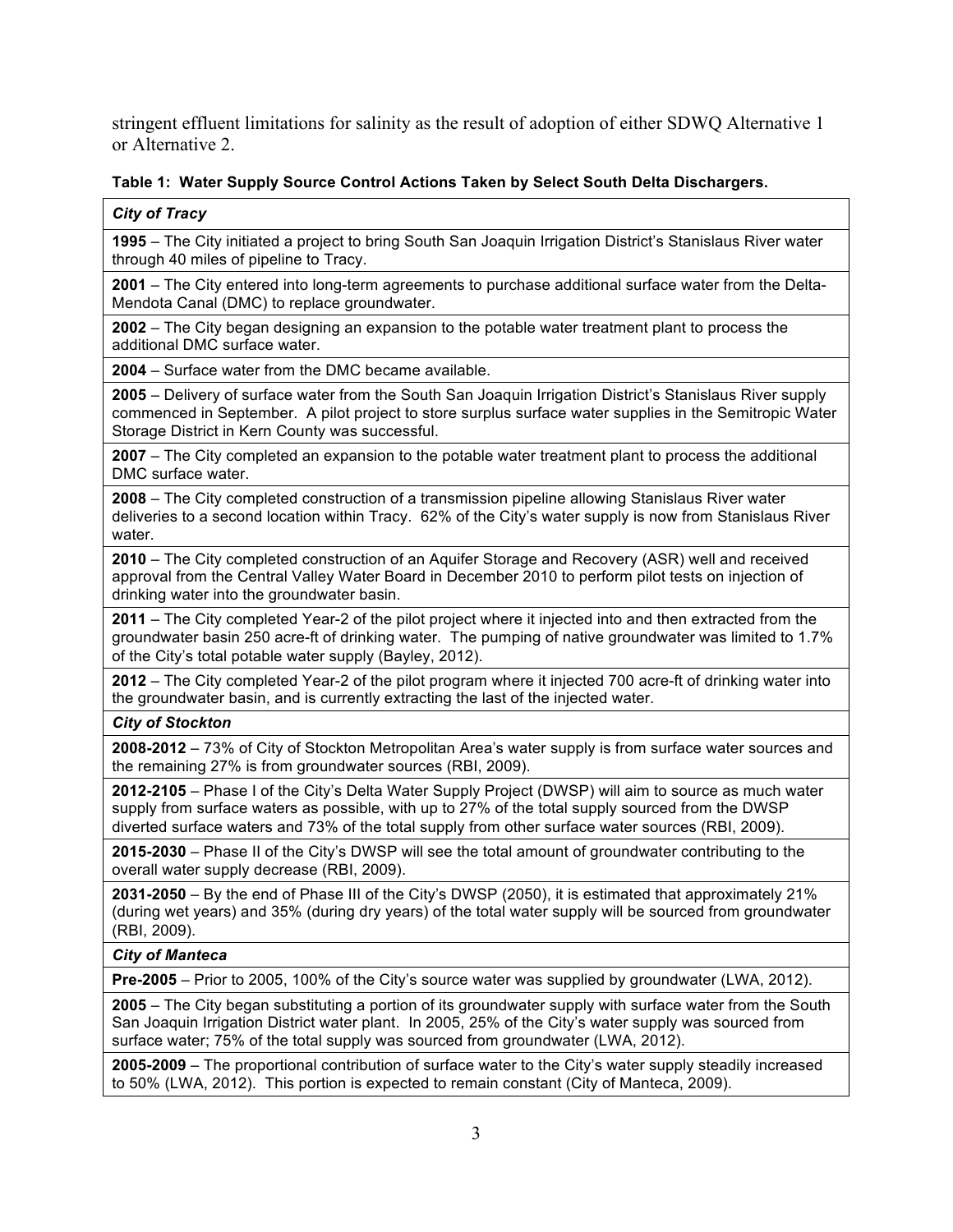stringent effluent limitations for salinity as the result of adoption of either SDWQ Alternative 1 or Alternative 2.

## **Table 1: Water Supply Source Control Actions Taken by Select South Delta Dischargers.**

#### *City of Tracy*

**1995** – The City initiated a project to bring South San Joaquin Irrigation District's Stanislaus River water through 40 miles of pipeline to Tracy.

**2001** – The City entered into long-term agreements to purchase additional surface water from the Delta-Mendota Canal (DMC) to replace groundwater.

**2002** – The City began designing an expansion to the potable water treatment plant to process the additional DMC surface water.

**2004** – Surface water from the DMC became available.

**2005** – Delivery of surface water from the South San Joaquin Irrigation District's Stanislaus River supply commenced in September. A pilot project to store surplus surface water supplies in the Semitropic Water Storage District in Kern County was successful.

**2007** – The City completed an expansion to the potable water treatment plant to process the additional DMC surface water.

**2008** – The City completed construction of a transmission pipeline allowing Stanislaus River water deliveries to a second location within Tracy. 62% of the City's water supply is now from Stanislaus River water.

**2010** – The City completed construction of an Aquifer Storage and Recovery (ASR) well and received approval from the Central Valley Water Board in December 2010 to perform pilot tests on injection of drinking water into the groundwater basin.

**2011** – The City completed Year-2 of the pilot project where it injected into and then extracted from the groundwater basin 250 acre-ft of drinking water. The pumping of native groundwater was limited to 1.7% of the City's total potable water supply (Bayley, 2012).

**2012** – The City completed Year-2 of the pilot program where it injected 700 acre-ft of drinking water into the groundwater basin, and is currently extracting the last of the injected water.

## *City of Stockton*

**2008-2012** – 73% of City of Stockton Metropolitan Area's water supply is from surface water sources and the remaining 27% is from groundwater sources (RBI, 2009).

**2012-2105** – Phase I of the City's Delta Water Supply Project (DWSP) will aim to source as much water supply from surface waters as possible, with up to 27% of the total supply sourced from the DWSP diverted surface waters and 73% of the total supply from other surface water sources (RBI, 2009).

**2015-2030** – Phase II of the City's DWSP will see the total amount of groundwater contributing to the overall water supply decrease (RBI, 2009).

**2031-2050** – By the end of Phase III of the City's DWSP (2050), it is estimated that approximately 21% (during wet years) and 35% (during dry years) of the total water supply will be sourced from groundwater (RBI, 2009).

*City of Manteca*

**Pre-2005** – Prior to 2005, 100% of the City's source water was supplied by groundwater (LWA, 2012).

**2005** – The City began substituting a portion of its groundwater supply with surface water from the South San Joaquin Irrigation District water plant. In 2005, 25% of the City's water supply was sourced from surface water; 75% of the total supply was sourced from groundwater (LWA, 2012).

**2005-2009** – The proportional contribution of surface water to the City's water supply steadily increased to 50% (LWA, 2012). This portion is expected to remain constant (City of Manteca, 2009).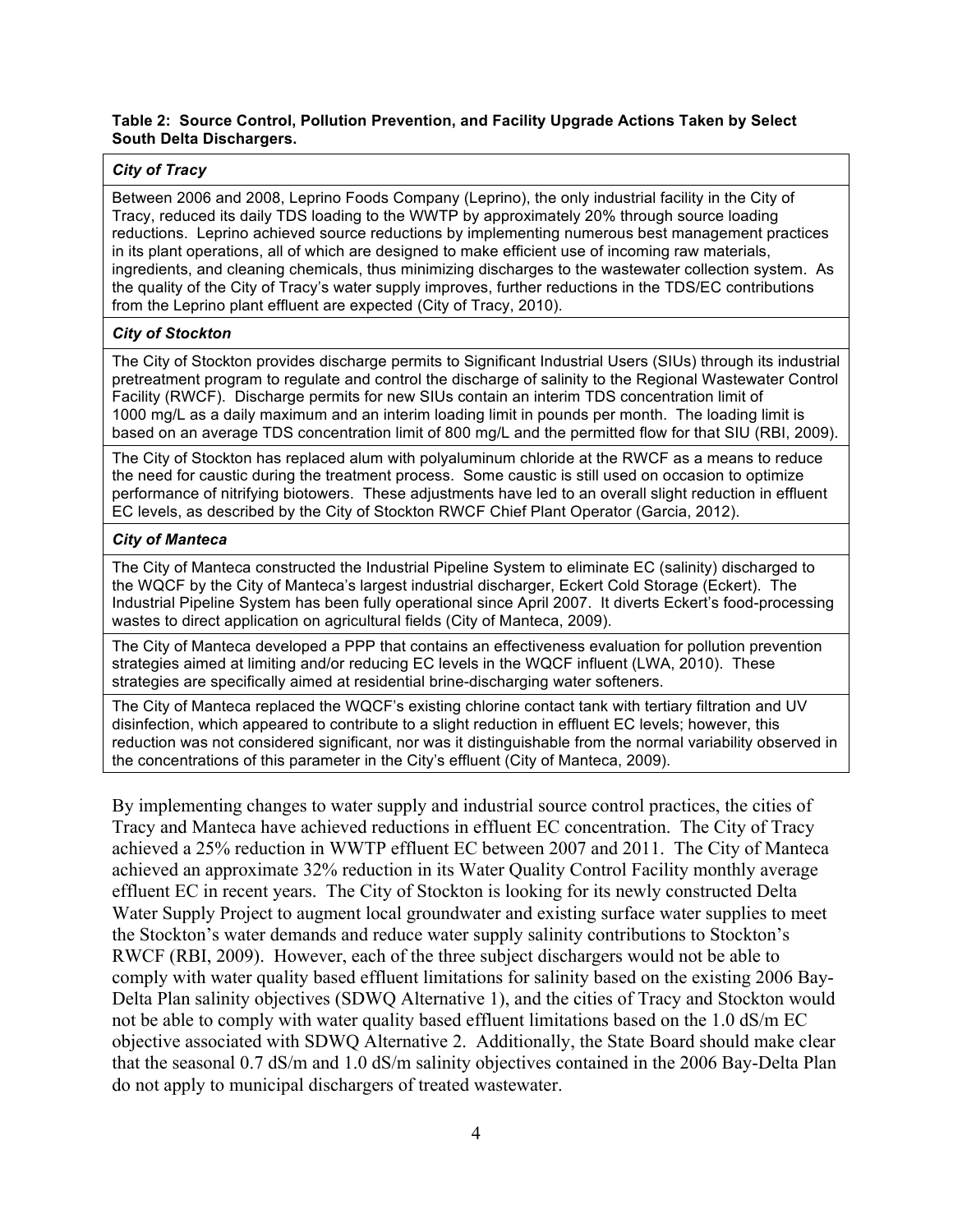#### **Table 2: Source Control, Pollution Prevention, and Facility Upgrade Actions Taken by Select South Delta Dischargers.**

## *City of Tracy*

Between 2006 and 2008, Leprino Foods Company (Leprino), the only industrial facility in the City of Tracy, reduced its daily TDS loading to the WWTP by approximately 20% through source loading reductions. Leprino achieved source reductions by implementing numerous best management practices in its plant operations, all of which are designed to make efficient use of incoming raw materials, ingredients, and cleaning chemicals, thus minimizing discharges to the wastewater collection system. As the quality of the City of Tracy's water supply improves, further reductions in the TDS/EC contributions from the Leprino plant effluent are expected (City of Tracy, 2010).

#### *City of Stockton*

The City of Stockton provides discharge permits to Significant Industrial Users (SIUs) through its industrial pretreatment program to regulate and control the discharge of salinity to the Regional Wastewater Control Facility (RWCF). Discharge permits for new SIUs contain an interim TDS concentration limit of 1000 mg/L as a daily maximum and an interim loading limit in pounds per month. The loading limit is based on an average TDS concentration limit of 800 mg/L and the permitted flow for that SIU (RBI, 2009).

The City of Stockton has replaced alum with polyaluminum chloride at the RWCF as a means to reduce the need for caustic during the treatment process. Some caustic is still used on occasion to optimize performance of nitrifying biotowers. These adjustments have led to an overall slight reduction in effluent EC levels, as described by the City of Stockton RWCF Chief Plant Operator (Garcia, 2012).

## *City of Manteca*

The City of Manteca constructed the Industrial Pipeline System to eliminate EC (salinity) discharged to the WQCF by the City of Manteca's largest industrial discharger, Eckert Cold Storage (Eckert). The Industrial Pipeline System has been fully operational since April 2007. It diverts Eckert's food-processing wastes to direct application on agricultural fields (City of Manteca, 2009).

The City of Manteca developed a PPP that contains an effectiveness evaluation for pollution prevention strategies aimed at limiting and/or reducing EC levels in the WQCF influent (LWA, 2010). These strategies are specifically aimed at residential brine-discharging water softeners.

The City of Manteca replaced the WQCF's existing chlorine contact tank with tertiary filtration and UV disinfection, which appeared to contribute to a slight reduction in effluent EC levels; however, this reduction was not considered significant, nor was it distinguishable from the normal variability observed in the concentrations of this parameter in the City's effluent (City of Manteca, 2009).

By implementing changes to water supply and industrial source control practices, the cities of Tracy and Manteca have achieved reductions in effluent EC concentration. The City of Tracy achieved a 25% reduction in WWTP effluent EC between 2007 and 2011. The City of Manteca achieved an approximate 32% reduction in its Water Quality Control Facility monthly average effluent EC in recent years. The City of Stockton is looking for its newly constructed Delta Water Supply Project to augment local groundwater and existing surface water supplies to meet the Stockton's water demands and reduce water supply salinity contributions to Stockton's RWCF (RBI, 2009). However, each of the three subject dischargers would not be able to comply with water quality based effluent limitations for salinity based on the existing 2006 Bay-Delta Plan salinity objectives (SDWQ Alternative 1), and the cities of Tracy and Stockton would not be able to comply with water quality based effluent limitations based on the 1.0 dS/m EC objective associated with SDWQ Alternative 2. Additionally, the State Board should make clear that the seasonal 0.7 dS/m and 1.0 dS/m salinity objectives contained in the 2006 Bay-Delta Plan do not apply to municipal dischargers of treated wastewater.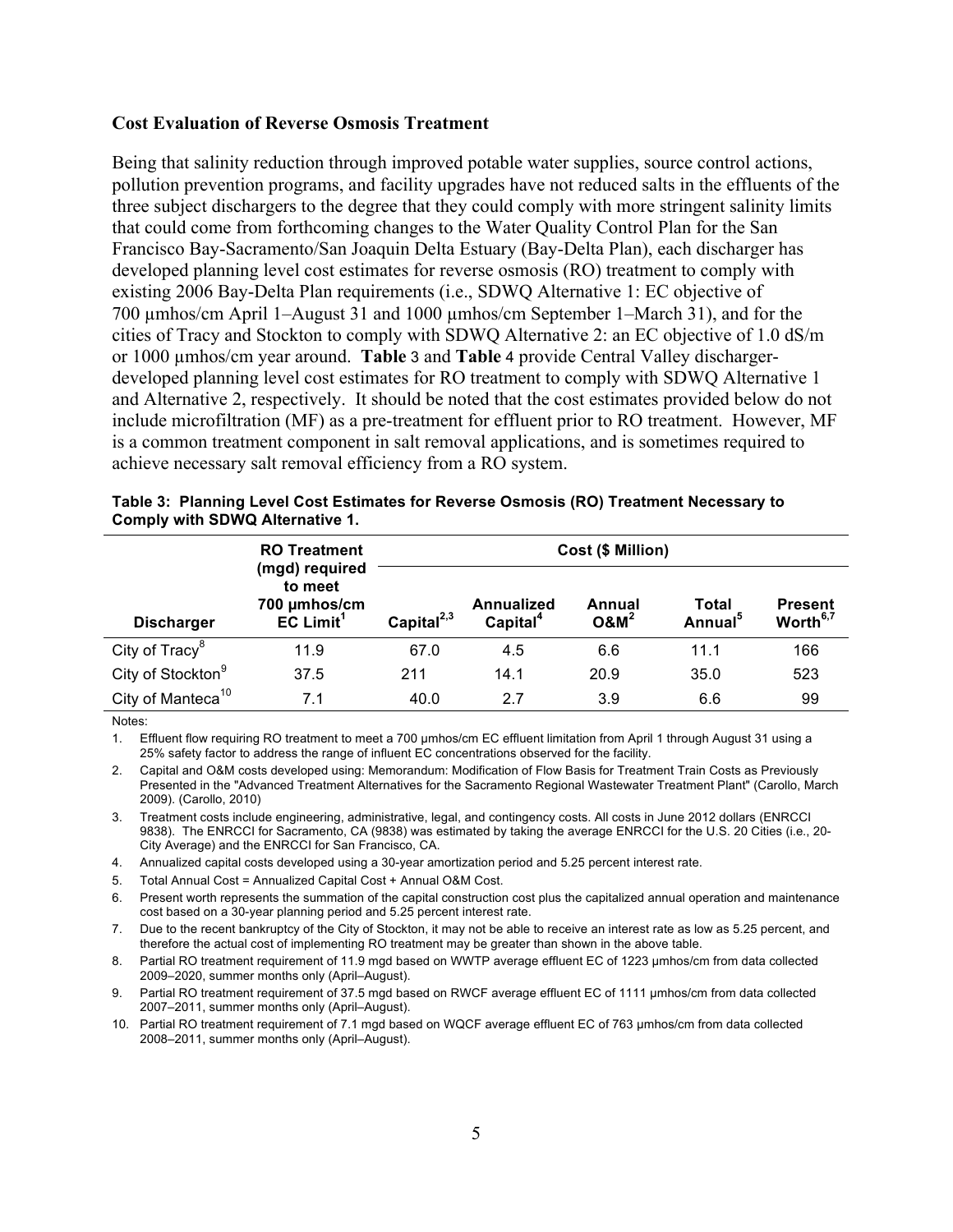## **Cost Evaluation of Reverse Osmosis Treatment**

Being that salinity reduction through improved potable water supplies, source control actions, pollution prevention programs, and facility upgrades have not reduced salts in the effluents of the three subject dischargers to the degree that they could comply with more stringent salinity limits that could come from forthcoming changes to the Water Quality Control Plan for the San Francisco Bay-Sacramento/San Joaquin Delta Estuary (Bay-Delta Plan), each discharger has developed planning level cost estimates for reverse osmosis (RO) treatment to comply with existing 2006 Bay-Delta Plan requirements (i.e., SDWQ Alternative 1: EC objective of 700 µmhos/cm April 1–August 31 and 1000 µmhos/cm September 1–March 31), and for the cities of Tracy and Stockton to comply with SDWQ Alternative 2: an EC objective of 1.0 dS/m or 1000 µmhos/cm year around. **Table** 3 and **Table** 4 provide Central Valley dischargerdeveloped planning level cost estimates for RO treatment to comply with SDWQ Alternative 1 and Alternative 2, respectively. It should be noted that the cost estimates provided below do not include microfiltration (MF) as a pre-treatment for effluent prior to RO treatment. However, MF is a common treatment component in salt removal applications, and is sometimes required to achieve necessary salt removal efficiency from a RO system.

|                               | <b>RO Treatment</b>                                                  | Cost (\$ Million) |                                    |                   |                              |                                        |  |
|-------------------------------|----------------------------------------------------------------------|-------------------|------------------------------------|-------------------|------------------------------|----------------------------------------|--|
| <b>Discharger</b>             | (mgd) required<br>to meet<br>700 µmhos/cm<br>$EC$ Limit <sup>1</sup> | Capital $^{2,3}$  | Annualized<br>Capital <sup>4</sup> | Annual<br>$O&M^2$ | Total<br>Annual <sup>5</sup> | <b>Present</b><br>Worth <sup>6,7</sup> |  |
| City of Tracy <sup>8</sup>    | 11.9                                                                 | 67.0              | 4.5                                | 6.6               | 11.1                         | 166                                    |  |
| City of Stockton <sup>9</sup> | 37.5                                                                 | 211               | 14.1                               | 20.9              | 35.0                         | 523                                    |  |
| City of Manteca <sup>10</sup> | 7.1                                                                  | 40.0              | 2.7                                | 3.9               | 6.6                          | 99                                     |  |

|                                 | Table 3: Planning Level Cost Estimates for Reverse Osmosis (RO) Treatment Necessary to |  |  |
|---------------------------------|----------------------------------------------------------------------------------------|--|--|
| Comply with SDWQ Alternative 1. |                                                                                        |  |  |

Notes:

1. Effluent flow requiring RO treatment to meet a 700 µmhos/cm EC effluent limitation from April 1 through August 31 using a 25% safety factor to address the range of influent EC concentrations observed for the facility.

2. Capital and O&M costs developed using: Memorandum: Modification of Flow Basis for Treatment Train Costs as Previously Presented in the "Advanced Treatment Alternatives for the Sacramento Regional Wastewater Treatment Plant" (Carollo, March 2009). (Carollo, 2010)

3. Treatment costs include engineering, administrative, legal, and contingency costs. All costs in June 2012 dollars (ENRCCI 9838). The ENRCCI for Sacramento, CA (9838) was estimated by taking the average ENRCCI for the U.S. 20 Cities (i.e., 20- City Average) and the ENRCCI for San Francisco, CA.

4. Annualized capital costs developed using a 30-year amortization period and 5.25 percent interest rate.

5. Total Annual Cost = Annualized Capital Cost + Annual O&M Cost.

6. Present worth represents the summation of the capital construction cost plus the capitalized annual operation and maintenance cost based on a 30-year planning period and 5.25 percent interest rate.

7. Due to the recent bankruptcy of the City of Stockton, it may not be able to receive an interest rate as low as 5.25 percent, and therefore the actual cost of implementing RO treatment may be greater than shown in the above table.

8. Partial RO treatment requirement of 11.9 mgd based on WWTP average effluent EC of 1223 µmhos/cm from data collected 2009–2020, summer months only (April–August).

9. Partial RO treatment requirement of 37.5 mgd based on RWCF average effluent EC of 1111 µmhos/cm from data collected 2007–2011, summer months only (April–August).

10. Partial RO treatment requirement of 7.1 mgd based on WQCF average effluent EC of 763 µmhos/cm from data collected 2008–2011, summer months only (April–August).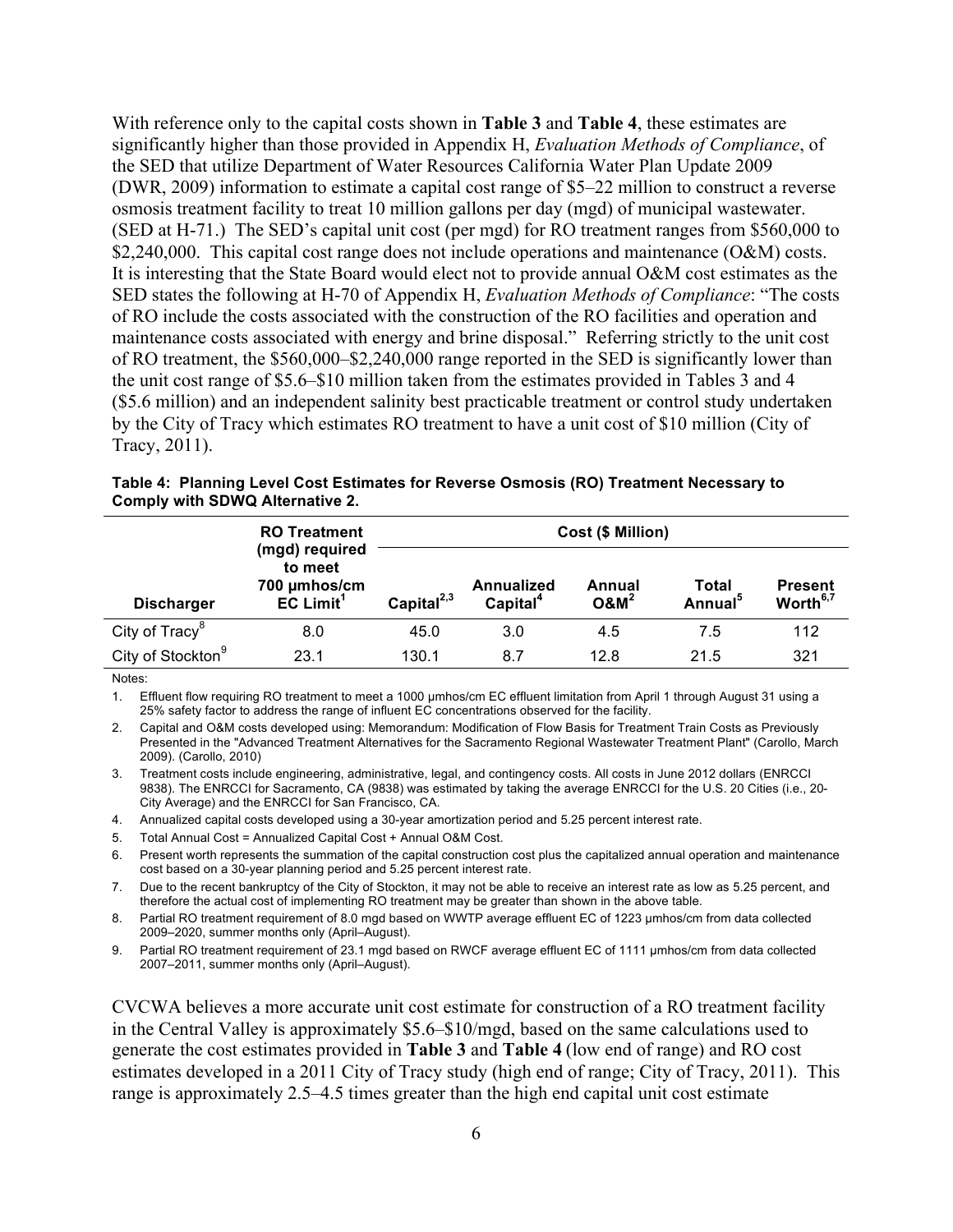With reference only to the capital costs shown in **Table 3** and **Table 4**, these estimates are significantly higher than those provided in Appendix H, *Evaluation Methods of Compliance*, of the SED that utilize Department of Water Resources California Water Plan Update 2009 (DWR, 2009) information to estimate a capital cost range of \$5–22 million to construct a reverse osmosis treatment facility to treat 10 million gallons per day (mgd) of municipal wastewater. (SED at H-71.) The SED's capital unit cost (per mgd) for RO treatment ranges from \$560,000 to \$2,240,000. This capital cost range does not include operations and maintenance (O&M) costs. It is interesting that the State Board would elect not to provide annual O&M cost estimates as the SED states the following at H-70 of Appendix H, *Evaluation Methods of Compliance*: "The costs of RO include the costs associated with the construction of the RO facilities and operation and maintenance costs associated with energy and brine disposal." Referring strictly to the unit cost of RO treatment, the \$560,000–\$2,240,000 range reported in the SED is significantly lower than the unit cost range of \$5.6–\$10 million taken from the estimates provided in Tables 3 and 4 (\$5.6 million) and an independent salinity best practicable treatment or control study undertaken by the City of Tracy which estimates RO treatment to have a unit cost of \$10 million (City of Tracy, 2011).

|                               | <b>RO Treatment</b>                                                  | Cost (\$ Million) |                                           |                   |                                     |                                        |  |
|-------------------------------|----------------------------------------------------------------------|-------------------|-------------------------------------------|-------------------|-------------------------------------|----------------------------------------|--|
| <b>Discharger</b>             | (mgd) required<br>to meet<br>700 µmhos/cm<br>$EC$ Limit <sup>1</sup> | Capital $^{2,3}$  | <b>Annualized</b><br>Capital <sup>4</sup> | Annual<br>$O&M^2$ | <b>Total</b><br>Annual <sup>5</sup> | <b>Present</b><br>Worth <sup>6,7</sup> |  |
| City of Tracy <sup>8</sup>    | 8.0                                                                  | 45.0              | 3.0                                       | 4.5               | 7.5                                 | 112                                    |  |
| City of Stockton <sup>9</sup> | 23.1                                                                 | 130.1             | 8.7                                       | 12.8              | 21.5                                | 321                                    |  |

|                                 |  |  | Table 4: Planning Level Cost Estimates for Reverse Osmosis (RO) Treatment Necessary to |
|---------------------------------|--|--|----------------------------------------------------------------------------------------|
| Comply with SDWQ Alternative 2. |  |  |                                                                                        |

Notes:

1. Effluent flow requiring RO treatment to meet a 1000 µmhos/cm EC effluent limitation from April 1 through August 31 using a 25% safety factor to address the range of influent EC concentrations observed for the facility.

2. Capital and O&M costs developed using: Memorandum: Modification of Flow Basis for Treatment Train Costs as Previously Presented in the "Advanced Treatment Alternatives for the Sacramento Regional Wastewater Treatment Plant" (Carollo, March 2009). (Carollo, 2010)

3. Treatment costs include engineering, administrative, legal, and contingency costs. All costs in June 2012 dollars (ENRCCI 9838). The ENRCCI for Sacramento, CA (9838) was estimated by taking the average ENRCCI for the U.S. 20 Cities (i.e., 20- City Average) and the ENRCCI for San Francisco, CA.

4. Annualized capital costs developed using a 30-year amortization period and 5.25 percent interest rate.

5. Total Annual Cost = Annualized Capital Cost + Annual O&M Cost.

6. Present worth represents the summation of the capital construction cost plus the capitalized annual operation and maintenance cost based on a 30-year planning period and 5.25 percent interest rate.

7. Due to the recent bankruptcy of the City of Stockton, it may not be able to receive an interest rate as low as 5.25 percent, and therefore the actual cost of implementing RO treatment may be greater than shown in the above table.

8. Partial RO treatment requirement of 8.0 mgd based on WWTP average effluent EC of 1223 µmhos/cm from data collected 2009–2020, summer months only (April–August).

9. Partial RO treatment requirement of 23.1 mgd based on RWCF average effluent EC of 1111 µmhos/cm from data collected 2007–2011, summer months only (April–August).

CVCWA believes a more accurate unit cost estimate for construction of a RO treatment facility in the Central Valley is approximately \$5.6–\$10/mgd, based on the same calculations used to generate the cost estimates provided in **Table 3** and **Table 4** (low end of range) and RO cost estimates developed in a 2011 City of Tracy study (high end of range; City of Tracy, 2011). This range is approximately 2.5–4.5 times greater than the high end capital unit cost estimate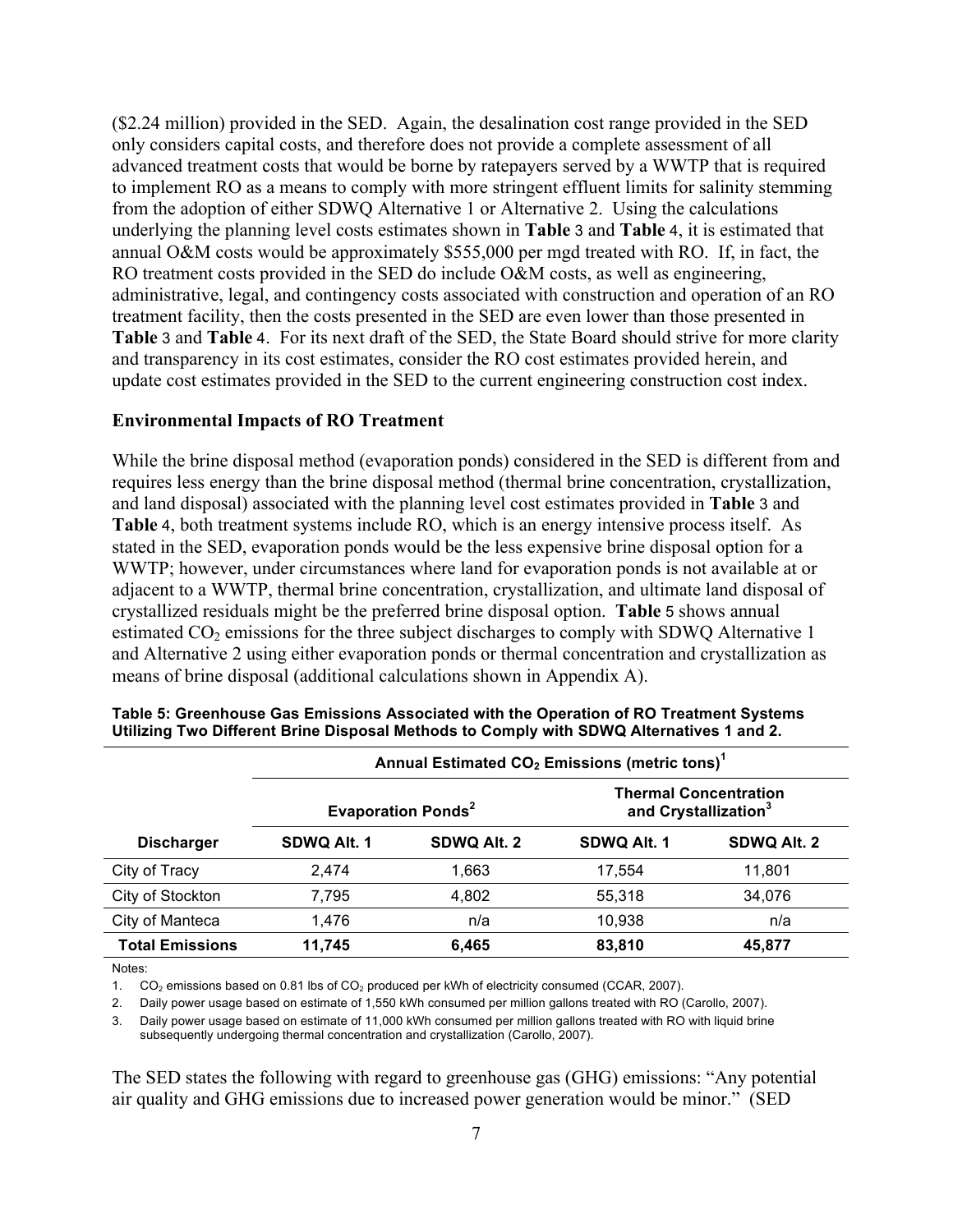(\$2.24 million) provided in the SED. Again, the desalination cost range provided in the SED only considers capital costs, and therefore does not provide a complete assessment of all advanced treatment costs that would be borne by ratepayers served by a WWTP that is required to implement RO as a means to comply with more stringent effluent limits for salinity stemming from the adoption of either SDWQ Alternative 1 or Alternative 2. Using the calculations underlying the planning level costs estimates shown in **Table** 3 and **Table** 4, it is estimated that annual O&M costs would be approximately \$555,000 per mgd treated with RO. If, in fact, the RO treatment costs provided in the SED do include O&M costs, as well as engineering, administrative, legal, and contingency costs associated with construction and operation of an RO treatment facility, then the costs presented in the SED are even lower than those presented in **Table** 3 and **Table** 4. For its next draft of the SED, the State Board should strive for more clarity and transparency in its cost estimates, consider the RO cost estimates provided herein, and update cost estimates provided in the SED to the current engineering construction cost index.

#### **Environmental Impacts of RO Treatment**

While the brine disposal method (evaporation ponds) considered in the SED is different from and requires less energy than the brine disposal method (thermal brine concentration, crystallization, and land disposal) associated with the planning level cost estimates provided in **Table** 3 and **Table** 4, both treatment systems include RO, which is an energy intensive process itself. As stated in the SED, evaporation ponds would be the less expensive brine disposal option for a WWTP; however, under circumstances where land for evaporation ponds is not available at or adjacent to a WWTP, thermal brine concentration, crystallization, and ultimate land disposal of crystallized residuals might be the preferred brine disposal option. **Table** 5 shows annual estimated  $CO<sub>2</sub>$  emissions for the three subject discharges to comply with SDWQ Alternative 1 and Alternative 2 using either evaporation ponds or thermal concentration and crystallization as means of brine disposal (additional calculations shown in Appendix A).

|                        | Annual Estimated CO <sub>2</sub> Emissions (metric tons) <sup>1</sup> |                                      |                                                                  |             |  |  |  |
|------------------------|-----------------------------------------------------------------------|--------------------------------------|------------------------------------------------------------------|-------------|--|--|--|
|                        |                                                                       | <b>Evaporation Ponds<sup>2</sup></b> | <b>Thermal Concentration</b><br>and Crystallization <sup>3</sup> |             |  |  |  |
| <b>Discharger</b>      | SDWQ Alt. 1                                                           | SDWQ Alt. 2                          | SDWQ Alt. 1                                                      | SDWQ Alt. 2 |  |  |  |
| City of Tracy          | 2.474                                                                 | 1,663                                | 17.554                                                           | 11.801      |  |  |  |
| City of Stockton       | 7,795                                                                 | 4,802                                | 55,318                                                           | 34,076      |  |  |  |
| City of Manteca        | 1,476                                                                 | n/a                                  | 10.938                                                           | n/a         |  |  |  |
| <b>Total Emissions</b> | 11,745                                                                | 6,465                                | 83,810                                                           | 45,877      |  |  |  |

| Table 5: Greenhouse Gas Emissions Associated with the Operation of RO Treatment Systems  |  |
|------------------------------------------------------------------------------------------|--|
| Utilizing Two Different Brine Disposal Methods to Comply with SDWQ Alternatives 1 and 2. |  |

Notes:

1. CO2 emissions based on 0.81 lbs of CO2 produced per kWh of electricity consumed (CCAR, 2007).

2. Daily power usage based on estimate of 1,550 kWh consumed per million gallons treated with RO (Carollo, 2007).

3. Daily power usage based on estimate of 11,000 kWh consumed per million gallons treated with RO with liquid brine

subsequently undergoing thermal concentration and crystallization (Carollo, 2007).

The SED states the following with regard to greenhouse gas (GHG) emissions: "Any potential air quality and GHG emissions due to increased power generation would be minor." (SED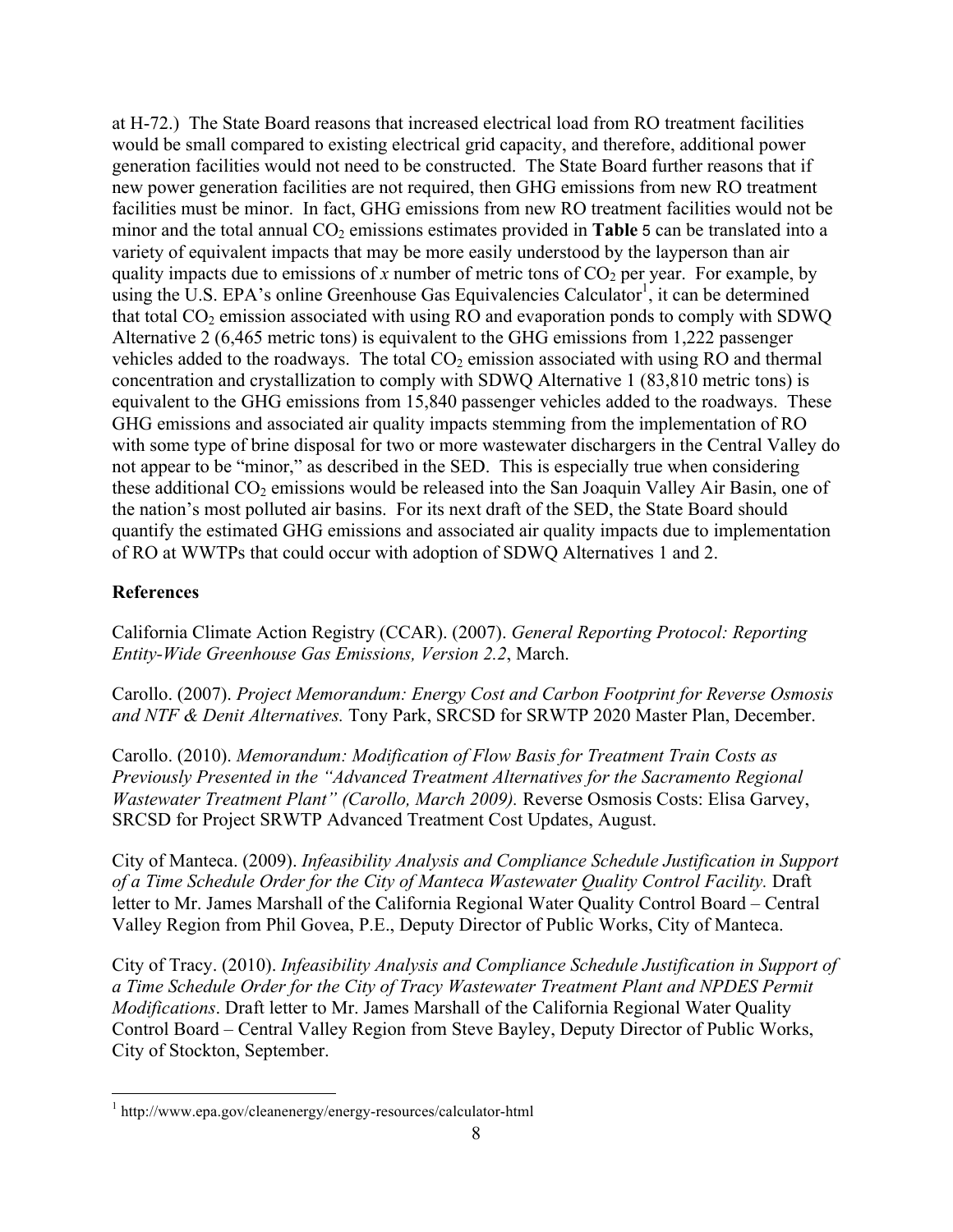at H-72.) The State Board reasons that increased electrical load from RO treatment facilities would be small compared to existing electrical grid capacity, and therefore, additional power generation facilities would not need to be constructed. The State Board further reasons that if new power generation facilities are not required, then GHG emissions from new RO treatment facilities must be minor. In fact, GHG emissions from new RO treatment facilities would not be minor and the total annual  $CO<sub>2</sub>$  emissions estimates provided in **Table** 5 can be translated into a variety of equivalent impacts that may be more easily understood by the layperson than air quality impacts due to emissions of x number of metric tons of  $CO<sub>2</sub>$  per year. For example, by using the U.S. EPA's online Greenhouse Gas Equivalencies Calculator<sup>1</sup>, it can be determined that total  $CO<sub>2</sub>$  emission associated with using RO and evaporation ponds to comply with SDWQ Alternative 2 (6,465 metric tons) is equivalent to the GHG emissions from 1,222 passenger vehicles added to the roadways. The total  $CO<sub>2</sub>$  emission associated with using RO and thermal concentration and crystallization to comply with SDWQ Alternative 1 (83,810 metric tons) is equivalent to the GHG emissions from 15,840 passenger vehicles added to the roadways. These GHG emissions and associated air quality impacts stemming from the implementation of RO with some type of brine disposal for two or more wastewater dischargers in the Central Valley do not appear to be "minor," as described in the SED. This is especially true when considering these additional  $CO_2$  emissions would be released into the San Joaquin Valley Air Basin, one of the nation's most polluted air basins. For its next draft of the SED, the State Board should quantify the estimated GHG emissions and associated air quality impacts due to implementation of RO at WWTPs that could occur with adoption of SDWQ Alternatives 1 and 2.

# **References**

California Climate Action Registry (CCAR). (2007). *General Reporting Protocol: Reporting Entity-Wide Greenhouse Gas Emissions, Version 2.2*, March.

Carollo. (2007). *Project Memorandum: Energy Cost and Carbon Footprint for Reverse Osmosis and NTF & Denit Alternatives.* Tony Park, SRCSD for SRWTP 2020 Master Plan, December.

Carollo. (2010). *Memorandum: Modification of Flow Basis for Treatment Train Costs as Previously Presented in the "Advanced Treatment Alternatives for the Sacramento Regional Wastewater Treatment Plant" (Carollo, March 2009).* Reverse Osmosis Costs: Elisa Garvey, SRCSD for Project SRWTP Advanced Treatment Cost Updates, August.

City of Manteca. (2009). *Infeasibility Analysis and Compliance Schedule Justification in Support of a Time Schedule Order for the City of Manteca Wastewater Quality Control Facility.* Draft letter to Mr. James Marshall of the California Regional Water Quality Control Board – Central Valley Region from Phil Govea, P.E., Deputy Director of Public Works, City of Manteca.

City of Tracy. (2010). *Infeasibility Analysis and Compliance Schedule Justification in Support of a Time Schedule Order for the City of Tracy Wastewater Treatment Plant and NPDES Permit Modifications*. Draft letter to Mr. James Marshall of the California Regional Water Quality Control Board – Central Valley Region from Steve Bayley, Deputy Director of Public Works, City of Stockton, September.

<u> 1989 - Jan Stein Stein, fransk politiker (d. 1989)</u>

<sup>1</sup> http://www.epa.gov/cleanenergy/energy-resources/calculator-html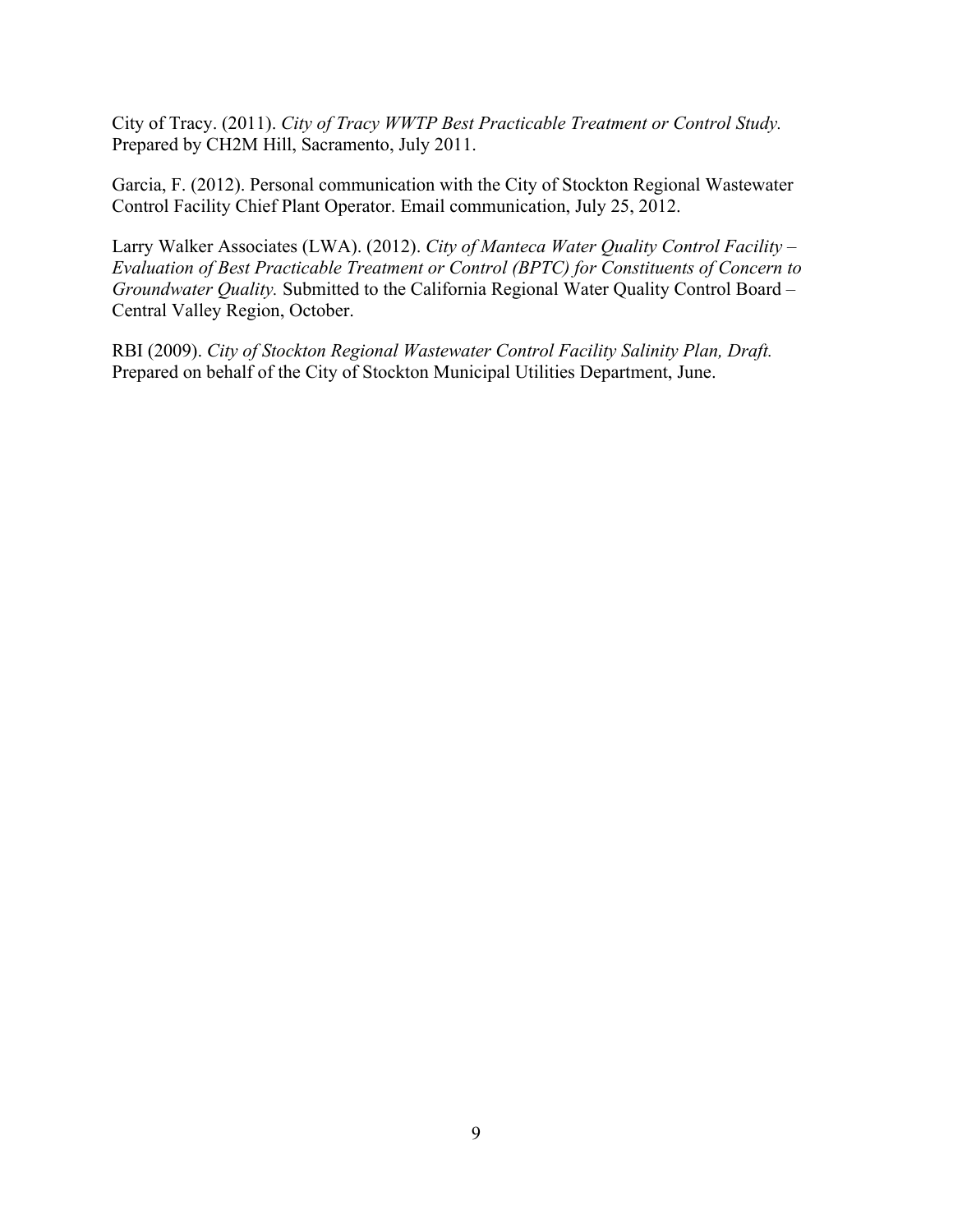City of Tracy. (2011). *City of Tracy WWTP Best Practicable Treatment or Control Study.* Prepared by CH2M Hill, Sacramento, July 2011.

Garcia, F. (2012). Personal communication with the City of Stockton Regional Wastewater Control Facility Chief Plant Operator. Email communication, July 25, 2012.

Larry Walker Associates (LWA). (2012). *City of Manteca Water Quality Control Facility – Evaluation of Best Practicable Treatment or Control (BPTC) for Constituents of Concern to Groundwater Quality.* Submitted to the California Regional Water Quality Control Board – Central Valley Region, October.

RBI (2009). *City of Stockton Regional Wastewater Control Facility Salinity Plan, Draft.* Prepared on behalf of the City of Stockton Municipal Utilities Department, June.